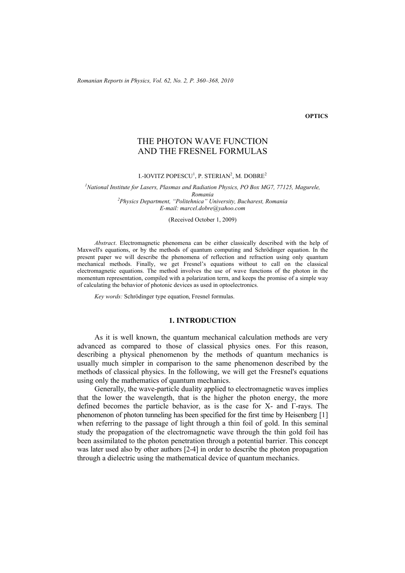*Romanian Reports in Physics, Vol. 62, No. 2, P. 360–368, 2010*

#### **OPTICS**

# THE PHOTON WAVE FUNCTION AND THE FRESNEL FORMULAS

I.-IOVITZ POPESCU<sup>1</sup>, P. STERIAN<sup>2</sup>, M. DOBRE<sup>2</sup>

<sup>1</sup> National Institute for Lasers, Plasmas and Radiation Physics, PO Box MG7, 77125, Magurele, *Romania 2 Physics Department, "Politehnica" University, Bucharest, Romania E-mail: marcel.dobre@yahoo.com* 

(Received October 1, 2009)

*Abstract*. Electromagnetic phenomena can be either classically described with the help of Maxwell's equations, or by the methods of quantum computing and Schrödinger equation. In the present paper we will describe the phenomena of reflection and refraction using only quantum mechanical methods. Finally, we get Fresnel's equations without to call on the classical electromagnetic equations. The method involves the use of wave functions of the photon in the momentum representation, compiled with a polarization term, and keeps the promise of a simple way of calculating the behavior of photonic devices as used in optoelectronics.

*Key words:* Schrödinger type equation, Fresnel formulas.

### **1. INTRODUCTION**

As it is well known, the quantum mechanical calculation methods are very advanced as compared to those of classical physics ones. For this reason, describing a physical phenomenon by the methods of quantum mechanics is usually much simpler in comparison to the same phenomenon described by the methods of classical physics. In the following, we will get the Fresnel's equations using only the mathematics of quantum mechanics.

Generally, the wave-particle duality applied to electromagnetic waves implies that the lower the wavelength, that is the higher the photon energy, the more defined becomes the particle behavior, as is the case for X- and Γ-rays. The phenomenon of photon tunneling has been specified for the first time by Heisenberg [1] when referring to the passage of light through a thin foil of gold. In this seminal study the propagation of the electromagnetic wave through the thin gold foil has been assimilated to the photon penetration through a potential barrier. This concept was later used also by other authors [2-4] in order to describe the photon propagation through a dielectric using the mathematical device of quantum mechanics.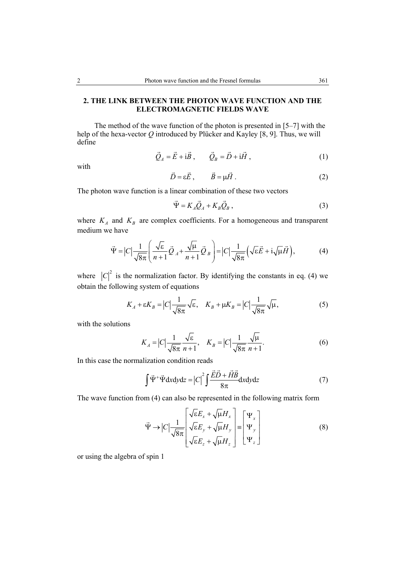## **2. THE LINK BETWEEN THE PHOTON WAVE FUNCTION AND THE ELECTROMAGNETIC FIELDS WAVE**

 The method of the wave function of the photon is presented in [5–7] with the help of the hexa-vector *Q* introduced by Plücker and Kayley [8, 9]. Thus, we will define

$$
\vec{Q}_A = \vec{E} + i\vec{B}, \qquad \vec{Q}_B = \vec{D} + i\vec{H}, \qquad (1)
$$

with

$$
\vec{D} = \varepsilon \vec{E}, \qquad \vec{B} = \mu \vec{H} \,. \tag{2}
$$

The photon wave function is a linear combination of these two vectors

$$
\vec{\Psi} = K_A \vec{Q}_A + K_B \vec{Q}_B , \qquad (3)
$$

where  $K_A$  and  $K_B$  are complex coefficients. For a homogeneous and transparent medium we have

$$
\vec{\Psi} = |C| \frac{1}{\sqrt{8\pi}} \left( \frac{\sqrt{\varepsilon}}{n+1} \vec{Q}_A + \frac{\sqrt{\mu}}{n+1} \vec{Q}_B \right) = |C| \frac{1}{\sqrt{8\pi}} \left( \sqrt{\varepsilon} \vec{E} + i \sqrt{\mu} \vec{H} \right), \tag{4}
$$

where  $|C|^2$  is the normalization factor. By identifying the constants in eq. (4) we obtain the following system of equations

$$
K_A + \varepsilon K_B = |C| \frac{1}{\sqrt{8\pi}} \sqrt{\varepsilon}, \quad K_B + \mu K_B = |C| \frac{1}{\sqrt{8\pi}} \sqrt{\mu},
$$
 (5)

with the solutions

$$
K_A = |C| \frac{1}{\sqrt{8\pi}} \frac{\sqrt{\varepsilon}}{n+1}, \quad K_B = |C| \frac{1}{\sqrt{8\pi}} \frac{\sqrt{\mu}}{n+1}.
$$
 (6)

In this case the normalization condition reads

$$
\int \vec{\Psi}^+ \vec{\Psi} \, dxdydz = |C|^2 \int \frac{\vec{E} \vec{D} + \vec{H} \vec{B}}{8\pi} dxdydz \tag{7}
$$

The wave function from (4) can also be represented in the following matrix form

$$
\vec{\Psi} \rightarrow |C| \frac{1}{\sqrt{8\pi}} \begin{bmatrix} \sqrt{\varepsilon} E_x + \sqrt{\mu} H_x \\ \sqrt{\varepsilon} E_y + \sqrt{\mu} H_y \\ \sqrt{\varepsilon} E_z + \sqrt{\mu} H_z \end{bmatrix} = \begin{bmatrix} \Psi_x \\ \Psi_y \\ \Psi_z \end{bmatrix}
$$
(8)

or using the algebra of spin 1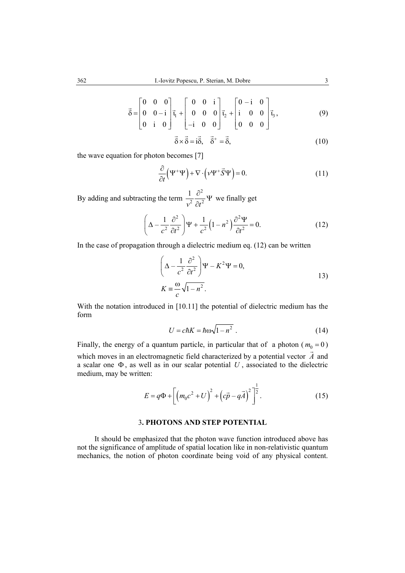$$
\vec{\delta} = \begin{bmatrix} 0 & 0 & 0 \\ 0 & 0 & -i \\ 0 & i & 0 \end{bmatrix} \vec{t}_1 + \begin{bmatrix} 0 & 0 & i \\ 0 & 0 & 0 \\ -i & 0 & 0 \end{bmatrix} \vec{t}_2 + \begin{bmatrix} 0 & -i & 0 \\ i & 0 & 0 \\ 0 & 0 & 0 \end{bmatrix} \vec{t}_3,
$$
(9)

$$
\vec{\delta} \times \vec{\delta} = i\vec{\delta}, \quad \vec{\delta}^+ = \vec{\delta}, \tag{10}
$$

the wave equation for photon becomes [7]

$$
\frac{\partial}{\partial t} (\Psi^+ \Psi) + \nabla \cdot (\nu \Psi^+ \vec{S} \Psi) = 0.
$$
\n(11)

By adding and subtracting the term 2 2  $2^{2}$ 1  $v^2$   $\partial t$  $\frac{\partial^2}{\partial t^2} \Psi$  we finally get

$$
\left(\Delta - \frac{1}{c^2} \frac{\partial^2}{\partial t^2}\right) \Psi + \frac{1}{c^2} \left(1 - n^2\right) \frac{\partial^2 \Psi}{\partial t^2} = 0.
$$
 (12)

In the case of propagation through a dielectric medium eq. (12) can be written

$$
\left(\Delta - \frac{1}{c^2} \frac{\partial^2}{\partial t^2}\right) \Psi - K^2 \Psi = 0,
$$
  
\n
$$
K \equiv \frac{\omega}{c} \sqrt{1 - n^2}.
$$

With the notation introduced in [10.11] the potential of dielectric medium has the form

$$
U = c\hbar K = \hbar \omega \sqrt{1 - n^2} \ . \tag{14}
$$

Finally, the energy of a quantum particle, in particular that of a photon  $(m_0 = 0)$ which moves in an electromagnetic field characterized by a potential vector *A* and a scalar one Φ , as well as in our scalar potential *U* , associated to the dielectric medium, may be written:

$$
E = q\Phi + \left[ \left( m_0 c^2 + U \right)^2 + \left( c\vec{p} - q\vec{A} \right)^2 \right]^{\frac{1}{2}}.
$$
 (15)

## 3**. PHOTONS AND STEP POTENTIAL**

It should be emphasized that the photon wave function introduced above has not the significance of amplitude of spatial location like in non-relativistic quantum mechanics, the notion of photon coordinate being void of any physical content.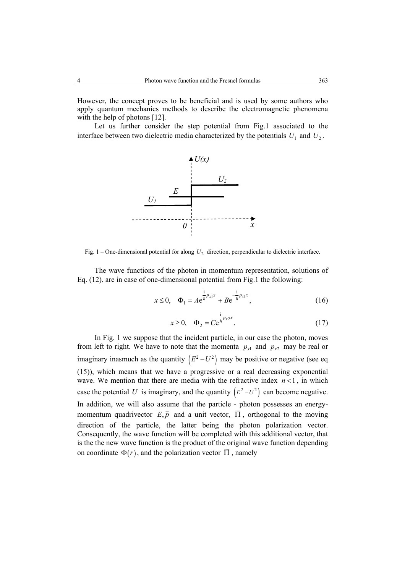However, the concept proves to be beneficial and is used by some authors who apply quantum mechanics methods to describe the electromagnetic phenomena with the help of photons [12].

Let us further consider the step potential from Fig.1 associated to the interface between two dielectric media characterized by the potentials  $U_1$  and  $U_2$ .



Fig. 1 – One-dimensional potential for along  $U_2$  direction, perpendicular to dielectric interface.

The wave functions of the photon in momentum representation, solutions of Eq. (12), are in case of one-dimensional potential from Fig.1 the following:

$$
x \le 0, \quad \Phi_1 = Ae^{\frac{i}{\hbar}p_{x1}x} + Be^{-\frac{i}{\hbar}p_{x1}x}, \tag{16}
$$

$$
x \ge 0, \quad \Phi_2 = Ce^{\frac{1}{h}p_{x2}x}.
$$
 (17)

In Fig. 1 we suppose that the incident particle, in our case the photon, moves from left to right. We have to note that the momenta  $p_{x1}$  and  $p_{x2}$  may be real or imaginary inasmuch as the quantity  $(E^2 - U^2)$  may be positive or negative (see eq. (15)), which means that we have a progressive or a real decreasing exponential wave. We mention that there are media with the refractive index  $n < 1$ , in which case the potential U is imaginary, and the quantity  $(E^2 - U^2)$  can become negative. In addition, we will also assume that the particle - photon possesses an energym definition, we will disc assume that the particle photon possesses an energy<br>momentum quadrivector  $E, \vec{p}$  and a unit vector,  $\vec{\Pi}$ , orthogonal to the moving direction of the particle, the latter being the photon polarization vector. Consequently, the wave function will be completed with this additional vector, that is the the new wave function is the product of the original wave function depending on coordinate  $\Phi(r)$ , and the polarization vector  $\overline{\Pi}$ , namely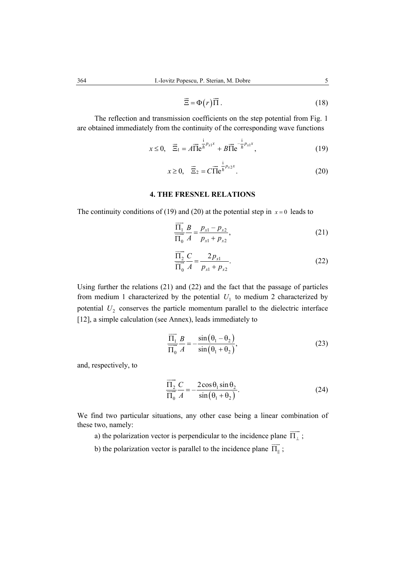$$
\vec{\Xi} = \Phi(r)\vec{\Pi} \,. \tag{18}
$$

The reflection and transmission coefficients on the step potential from Fig. 1 are obtained immediately from the continuity of the corresponding wave functions

$$
x \le 0, \quad \vec{\Xi}_1 = A \vec{\Pi} e^{\frac{i}{\hbar} p_{x1} x} + B \vec{\Pi} e^{-\frac{i}{\hbar} p_{x1} x}, \tag{19}
$$

$$
x \ge 0, \quad \vec{\Xi}_2 = C \vec{\Pi} e^{\frac{i}{\hbar} p_{x2} x}.
$$

## **4. THE FRESNEL RELATIONS**

The continuity conditions of (19) and (20) at the potential step in  $x = 0$  leads to

$$
\frac{\overrightarrow{\Pi_1}}{\overrightarrow{\Pi_0}} \frac{B}{A} = \frac{p_{x1} - p_{x2}}{p_{x1} + p_{x2}},
$$
\n(21)

$$
\frac{\overrightarrow{\Pi_2}}{\overrightarrow{\Pi_0}} \frac{C}{A} = \frac{2p_{x1}}{p_{x1} + p_{x2}}.
$$
 (22)

Using further the relations (21) and (22) and the fact that the passage of particles from medium 1 characterized by the potential  $U_1$  to medium 2 characterized by potential  $U_2$  conserves the particle momentum parallel to the dielectric interface [12], a simple calculation (see Annex), leads immediately to

$$
\frac{\overrightarrow{\Pi_1}}{\overrightarrow{\Pi_0}} \frac{B}{A} = -\frac{\sin(\theta_1 - \theta_2)}{\sin(\theta_1 + \theta_2)},
$$
\n(23)

and, respectively, to

$$
\frac{\overrightarrow{\Pi_2}}{\overrightarrow{\Pi_0}} \frac{C}{A} = -\frac{2\cos\theta_1 \sin\theta_2}{\sin(\theta_1 + \theta_2)}.
$$
 (24)

We find two particular situations, any other case being a linear combination of these two, namely:

a) the polarization vector is perpendicular to the incidence plane  $\overrightarrow{\Pi_1}$ ;

b) the polarization vector is parallel to the incidence plane  $\overrightarrow{\Pi_{\parallel}}$ ;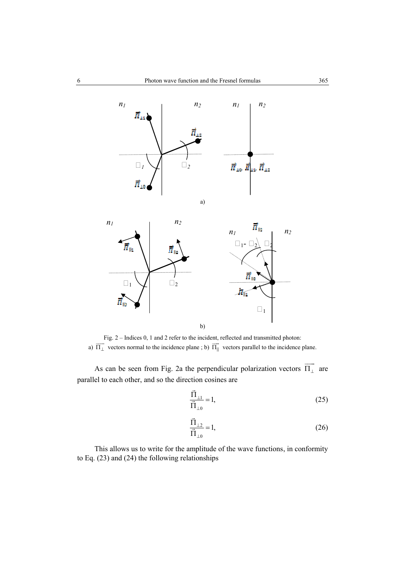

Fig. 2 – Indices 0, 1 and 2 refer to the incident, reflected and transmitted photon: a)  $\overline{\Pi_{\perp}}$  vectors normal to the incidence plane ; b)  $\overline{\Pi_{\parallel}}$ vectors parallel to the incidence plane.

As can be seen from Fig. 2a the perpendicular polarization vectors  $\overrightarrow{\Pi_{\perp}}$  are parallel to each other, and so the direction cosines are

$$
\frac{\vec{\Pi}_{\perp 1}}{\vec{\Pi}_{\perp 0}} = 1,\tag{25}
$$

$$
\frac{\vec{\Pi}_{\perp 2}}{\vec{\Pi}_{\perp 0}} = 1,
$$
\n(26)

This allows us to write for the amplitude of the wave functions, in conformity to Eq. (23) and (24) the following relationships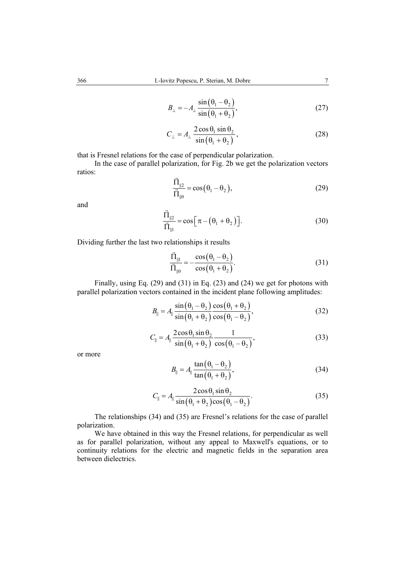$$
B_{\perp} = -A_{\perp} \frac{\sin(\theta_1 - \theta_2)}{\sin(\theta_1 + \theta_2)},
$$
\n(27)

$$
C_{\perp} = A_{\perp} \frac{2 \cos \theta_1 \sin \theta_2}{\sin \left(\theta_1 + \theta_2\right)},
$$
\n(28)

that is Fresnel relations for the case of perpendicular polarization.

In the case of parallel polarization, for Fig. 2b we get the polarization vectors ratios:  $\rightarrow$ 

$$
\frac{\Pi_{\parallel 2}}{\Pi_{\parallel 0}} = \cos(\theta_1 - \theta_2),\tag{29}
$$

and

$$
\frac{\vec{\Pi}_{\parallel 2}}{\vec{\Pi}_{\parallel 1}} = \cos \left[ \pi - \left( \theta_1 + \theta_2 \right) \right].
$$
\n(30)

Dividing further the last two relationships it results

$$
\frac{\vec{\Pi}_{\parallel\parallel}}{\vec{\Pi}_{\parallel 0}} = -\frac{\cos(\theta_1 - \theta_2)}{\cos(\theta_1 + \theta_2)}.
$$
\n(31)

Finally, using Eq. (29) and (31) in Eq. (23) and (24) we get for photons with parallel polarization vectors contained in the incident plane following amplitudes:

$$
B_{\parallel} = A_{\parallel} \frac{\sin(\theta_1 - \theta_2)}{\sin(\theta_1 + \theta_2)} \frac{\cos(\theta_1 + \theta_2)}{\cos(\theta_1 - \theta_2)},
$$
(32)

$$
C_{\parallel} = A_{\parallel} \frac{2 \cos \theta_1 \sin \theta_2}{\sin \left(\theta_1 + \theta_2\right)} \frac{1}{\cos \left(\theta_1 - \theta_2\right)},
$$
(33)

or more

$$
B_{\parallel} = A_{\parallel} \frac{\tan(\theta_1 - \theta_2)}{\tan(\theta_1 + \theta_2)},
$$
\n(34)

$$
C_{\parallel} = A_{\parallel} \frac{2 \cos \theta_1 \sin \theta_2}{\sin \left(\theta_1 + \theta_2\right) \cos \left(\theta_1 - \theta_2\right)}.
$$
 (35)

The relationships (34) and (35) are Fresnel's relations for the case of parallel polarization.

We have obtained in this way the Fresnel relations, for perpendicular as well as for parallel polarization, without any appeal to Maxwell's equations, or to continuity relations for the electric and magnetic fields in the separation area between dielectrics.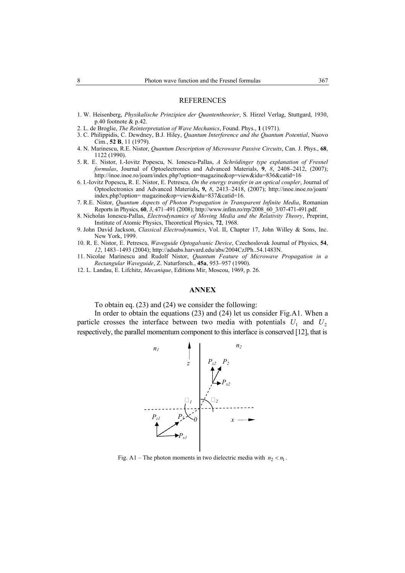- 1. W. Heisenberg, *Physikalische Prinzipien der Quantentheorier*, S. Hirzel Verlag, Stuttgard, 1930, p.40 footnote & p.42.
- 2. L. de Broglie, *The Reinterpretation of Wave Mechanics*, Found. Phys., **1** (1971).
- 3. C. Philippidis, C. Dewdney, B.J. Hiley, *Quantum Interference and the Quantum Potential*, Nuovo Cim., **52 B**, 11 (1979).
- 4. N. Marinescu, R.E. Nistor, *Quantum Description of Microwave Passive Circuits*, Can. J. Phys., **68**, 1122 (1990).
- 5. R. E. Nistor, I.-Iovitz Popescu, N. Ionescu-Pallas, *A Schrödinger type explanation of Fresnel formulas*, Journal of Optoelectronics and Advanced Materials, **9**, *8*, 2408–2412, (2007); http://inoe.inoe.ro/joam/index.php?option=magazine&op=view&idu=836&catid=16
- 6. I.-Iovitz Popescu**,** R. E. Nistor, E. Petrescu, *On the energy transfer in an optical coupler*, Journal of Optoelectronics and Advanced Materials**, 9,** *8*, 2413–2418, (2007); http://inoe.inoe.ro/joam/ index.php?option= magazine&op=view&idu=837&catid=16.
- 7. R.E. Nistor, *Quantum Aspects of Photon Propagation in Transparent Infinite Media*, Romanian Reports in Physics, **60**, *3*, 471–491 (2008); http://www.infim.ro/rrp/2008\_60\_3/07-471-491.pdf.
- 8. Nicholas Ionescu-Pallas, *Electrodynamics of Moving Media and the Relativity Theory*, Preprint, Institute of Atomic Physics, Theoretical Physics, **72**, 1968.
- 9. John David Jackson, *Classical Electrodynamics*, Vol. II, Chapter 17, John Willey & Sons, Inc. New York, 1999.
- 10. R. E. Nistor, E. Petrescu, *Waveguide Optogalvanic Device*, Czechoslovak Journal of Physics, **54**, *12*, 1483–1493 (2004); http://adsabs.harvard.edu/abs/2004CzJPh..54.1483N.
- 11. Nicolae Marinescu and Rudolf Nistor, *Quantum Feature of Microwave Propagation in a Rectangular Waveguide*, Z. Naturforsch., **45a**, 953–957 (1990).
- 12. L. Landau, E. Lifchitz, *Mecanique*, Editions Mir, Moscou, 1969, p. 26.

#### **ANNEX**

To obtain eq. (23) and (24) we consider the following:

In order to obtain the equations (23) and (24) let us consider Fig.A1. When a particle crosses the interface between two media with potentials  $U_1$  and  $U_2$ respectively, the parallel momentum component to this interface is conserved [12], that is



Fig. A1 – The photon moments in two dielectric media with  $n_2 < n_1$ .